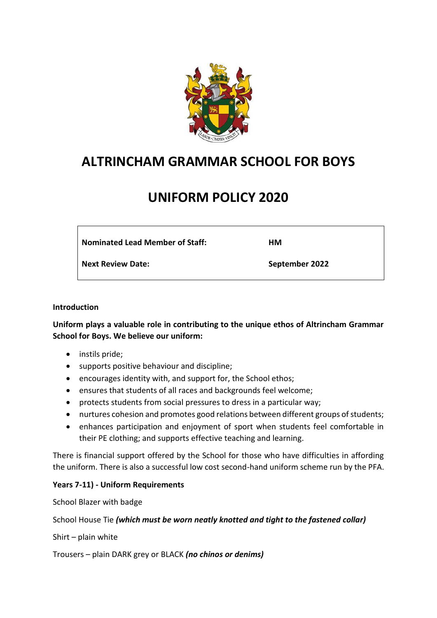

# **ALTRINCHAM GRAMMAR SCHOOL FOR BOYS**

# **UNIFORM POLICY 2020**

**Nominated Lead Member of Staff:** 

**HM**

**Next Review Date:**

**September 2022**

#### **Introduction**

**Uniform plays a valuable role in contributing to the unique ethos of Altrincham Grammar School for Boys. We believe our uniform:**

- instils pride;
- supports positive behaviour and discipline;
- encourages identity with, and support for, the School ethos;
- ensures that students of all races and backgrounds feel welcome;
- protects students from social pressures to dress in a particular way;
- nurtures cohesion and promotes good relations between different groups of students;
- enhances participation and enjoyment of sport when students feel comfortable in their PE clothing; and supports effective teaching and learning.

There is financial support offered by the School for those who have difficulties in affording the uniform. There is also a successful low cost second-hand uniform scheme run by the PFA.

## **Years 7-11) - Uniform Requirements**

School Blazer with badge

#### School House Tie *(which must be worn neatly knotted and tight to the fastened collar)*

Shirt – plain white

Trousers – plain DARK grey or BLACK *(no chinos or denims)*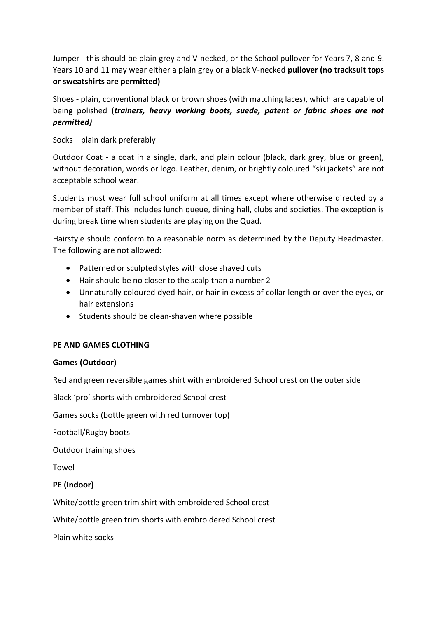Jumper - this should be plain grey and V-necked, or the School pullover for Years 7, 8 and 9. Years 10 and 11 may wear either a plain grey or a black V-necked **pullover (no tracksuit tops or sweatshirts are permitted)** 

Shoes - plain, conventional black or brown shoes (with matching laces), which are capable of being polished (*trainers, heavy working boots, suede, patent or fabric shoes are not permitted)*

Socks – plain dark preferably

Outdoor Coat - a coat in a single, dark, and plain colour (black, dark grey, blue or green), without decoration, words or logo. Leather, denim, or brightly coloured "ski jackets" are not acceptable school wear.

Students must wear full school uniform at all times except where otherwise directed by a member of staff. This includes lunch queue, dining hall, clubs and societies. The exception is during break time when students are playing on the Quad.

Hairstyle should conform to a reasonable norm as determined by the Deputy Headmaster. The following are not allowed:

- Patterned or sculpted styles with close shaved cuts
- Hair should be no closer to the scalp than a number 2
- Unnaturally coloured dyed hair, or hair in excess of collar length or over the eyes, or hair extensions
- Students should be clean-shaven where possible

## **PE AND GAMES CLOTHING**

#### **Games (Outdoor)**

Red and green reversible games shirt with embroidered School crest on the outer side

Black 'pro' shorts with embroidered School crest

Games socks (bottle green with red turnover top)

Football/Rugby boots

Outdoor training shoes

Towel

## **PE (Indoor)**

White/bottle green trim shirt with embroidered School crest

White/bottle green trim shorts with embroidered School crest

Plain white socks